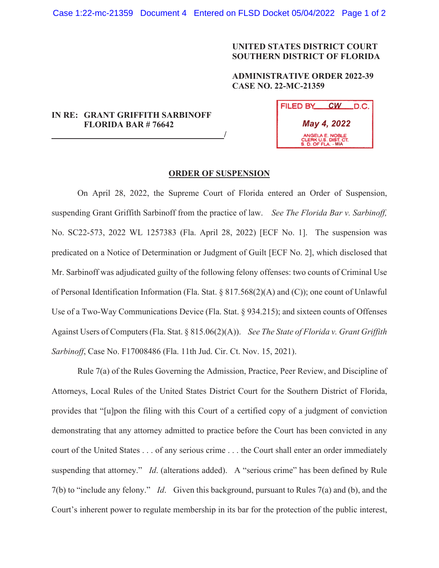## **UNITED STATES DISTRICT COURT SOUTHERN DISTRICT OF FLORIDA**

**ADMINISTRATIVE ORDER 2022-39 CASE NO. 22-MC-21359** 

## **IN RE: GRANT GRIFFITH SARBINOFF FLORIDA BAR # 76642 /**

| FILED BY                                                       | CW. | LD.C. |
|----------------------------------------------------------------|-----|-------|
| May 4, 2022                                                    |     |       |
| ANGELA E. NOBLE<br>CLERK U.S. DIST. CT.<br>S. D. OF FLA. - MIA |     |       |

## **ORDER OF SUSPENSION**

On April 28, 2022, the Supreme Court of Florida entered an Order of Suspension, suspending Grant Griffith Sarbinoff from the practice of law. *See The Florida Bar v. Sarbinoff,*  No. SC22-573, 2022 WL 1257383 (Fla. April 28, 2022) [ECF No. 1]. The suspension was predicated on a Notice of Determination or Judgment of Guilt [ECF No. 2], which disclosed that Mr. Sarbinoff was adjudicated guilty of the following felony offenses: two counts of Criminal Use of Personal Identification Information (Fla. Stat. § 817.568(2)(A) and (C)); one count of Unlawful Use of a Two-Way Communications Device (Fla. Stat. § 934.215); and sixteen counts of Offenses Against Users of Computers (Fla. Stat. § 815.06(2)(A)). *See The State of Florida v. Grant Griffith Sarbinoff*, Case No. F17008486 (Fla. 11th Jud. Cir. Ct. Nov. 15, 2021).

Rule 7(a) of the Rules Governing the Admission, Practice, Peer Review, and Discipline of Attorneys, Local Rules of the United States District Court for the Southern District of Florida, provides that "[u]pon the filing with this Court of a certified copy of a judgment of conviction demonstrating that any attorney admitted to practice before the Court has been convicted in any court of the United States . . . of any serious crime . . . the Court shall enter an order immediately suspending that attorney." *Id.* (alterations added). A "serious crime" has been defined by Rule 7(b) to "include any felony." *Id*. Given this background, pursuant to Rules 7(a) and (b), and the Court's inherent power to regulate membership in its bar for the protection of the public interest,